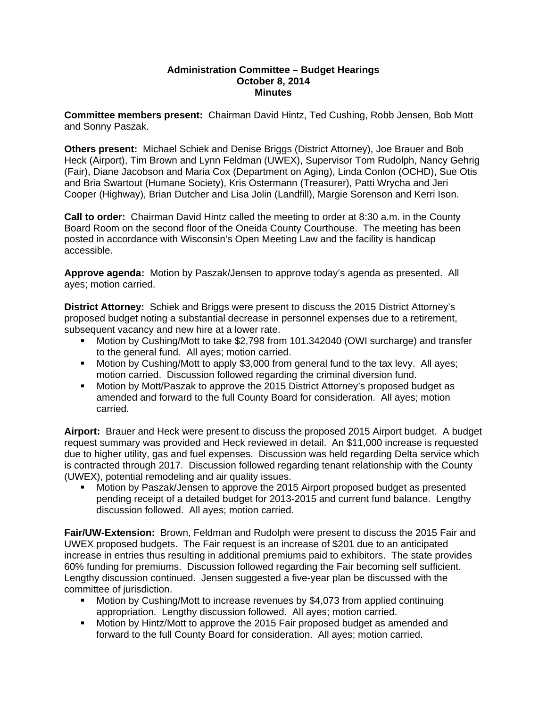## **Administration Committee – Budget Hearings October 8, 2014 Minutes**

**Committee members present:** Chairman David Hintz, Ted Cushing, Robb Jensen, Bob Mott and Sonny Paszak.

**Others present:** Michael Schiek and Denise Briggs (District Attorney), Joe Brauer and Bob Heck (Airport), Tim Brown and Lynn Feldman (UWEX), Supervisor Tom Rudolph, Nancy Gehrig (Fair), Diane Jacobson and Maria Cox (Department on Aging), Linda Conlon (OCHD), Sue Otis and Bria Swartout (Humane Society), Kris Ostermann (Treasurer), Patti Wrycha and Jeri Cooper (Highway), Brian Dutcher and Lisa Jolin (Landfill), Margie Sorenson and Kerri Ison.

**Call to order:** Chairman David Hintz called the meeting to order at 8:30 a.m. in the County Board Room on the second floor of the Oneida County Courthouse. The meeting has been posted in accordance with Wisconsin's Open Meeting Law and the facility is handicap accessible.

**Approve agenda:** Motion by Paszak/Jensen to approve today's agenda as presented. All ayes; motion carried.

**District Attorney:** Schiek and Briggs were present to discuss the 2015 District Attorney's proposed budget noting a substantial decrease in personnel expenses due to a retirement, subsequent vacancy and new hire at a lower rate.

- Motion by Cushing/Mott to take \$2,798 from 101.342040 (OWI surcharge) and transfer to the general fund. All ayes; motion carried.
- **Motion by Cushing/Mott to apply \$3,000 from general fund to the tax levy. All ayes;** motion carried. Discussion followed regarding the criminal diversion fund.
- Motion by Mott/Paszak to approve the 2015 District Attorney's proposed budget as amended and forward to the full County Board for consideration. All ayes; motion carried.

**Airport:** Brauer and Heck were present to discuss the proposed 2015 Airport budget. A budget request summary was provided and Heck reviewed in detail. An \$11,000 increase is requested due to higher utility, gas and fuel expenses. Discussion was held regarding Delta service which is contracted through 2017. Discussion followed regarding tenant relationship with the County (UWEX), potential remodeling and air quality issues.

 Motion by Paszak/Jensen to approve the 2015 Airport proposed budget as presented pending receipt of a detailed budget for 2013-2015 and current fund balance. Lengthy discussion followed. All ayes; motion carried.

**Fair/UW-Extension:** Brown, Feldman and Rudolph were present to discuss the 2015 Fair and UWEX proposed budgets. The Fair request is an increase of \$201 due to an anticipated increase in entries thus resulting in additional premiums paid to exhibitors. The state provides 60% funding for premiums. Discussion followed regarding the Fair becoming self sufficient. Lengthy discussion continued. Jensen suggested a five-year plan be discussed with the committee of jurisdiction.

- Motion by Cushing/Mott to increase revenues by \$4,073 from applied continuing appropriation. Lengthy discussion followed. All ayes; motion carried.
- **Motion by Hintz/Mott to approve the 2015 Fair proposed budget as amended and** forward to the full County Board for consideration. All ayes; motion carried.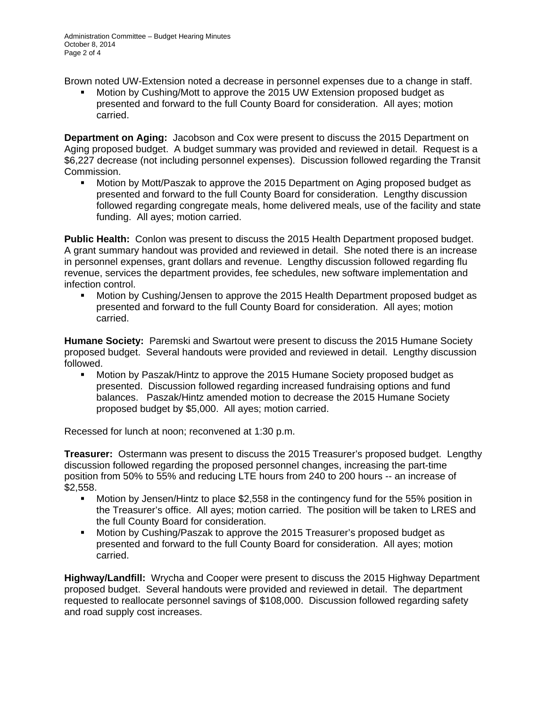Brown noted UW-Extension noted a decrease in personnel expenses due to a change in staff.

 Motion by Cushing/Mott to approve the 2015 UW Extension proposed budget as presented and forward to the full County Board for consideration. All ayes; motion carried.

**Department on Aging:** Jacobson and Cox were present to discuss the 2015 Department on Aging proposed budget. A budget summary was provided and reviewed in detail. Request is a \$6,227 decrease (not including personnel expenses). Discussion followed regarding the Transit Commission.

 Motion by Mott/Paszak to approve the 2015 Department on Aging proposed budget as presented and forward to the full County Board for consideration. Lengthy discussion followed regarding congregate meals, home delivered meals, use of the facility and state funding. All ayes; motion carried.

**Public Health:** Conlon was present to discuss the 2015 Health Department proposed budget. A grant summary handout was provided and reviewed in detail. She noted there is an increase in personnel expenses, grant dollars and revenue. Lengthy discussion followed regarding flu revenue, services the department provides, fee schedules, new software implementation and infection control.

 Motion by Cushing/Jensen to approve the 2015 Health Department proposed budget as presented and forward to the full County Board for consideration. All ayes; motion carried.

**Humane Society:** Paremski and Swartout were present to discuss the 2015 Humane Society proposed budget. Several handouts were provided and reviewed in detail. Lengthy discussion followed.

 Motion by Paszak/Hintz to approve the 2015 Humane Society proposed budget as presented. Discussion followed regarding increased fundraising options and fund balances. Paszak/Hintz amended motion to decrease the 2015 Humane Society proposed budget by \$5,000. All ayes; motion carried.

Recessed for lunch at noon; reconvened at 1:30 p.m.

**Treasurer:** Ostermann was present to discuss the 2015 Treasurer's proposed budget. Lengthy discussion followed regarding the proposed personnel changes, increasing the part-time position from 50% to 55% and reducing LTE hours from 240 to 200 hours -- an increase of \$2,558.

- Motion by Jensen/Hintz to place \$2,558 in the contingency fund for the 55% position in the Treasurer's office. All ayes; motion carried. The position will be taken to LRES and the full County Board for consideration.
- Motion by Cushing/Paszak to approve the 2015 Treasurer's proposed budget as presented and forward to the full County Board for consideration. All ayes; motion carried.

**Highway/Landfill:** Wrycha and Cooper were present to discuss the 2015 Highway Department proposed budget. Several handouts were provided and reviewed in detail. The department requested to reallocate personnel savings of \$108,000. Discussion followed regarding safety and road supply cost increases.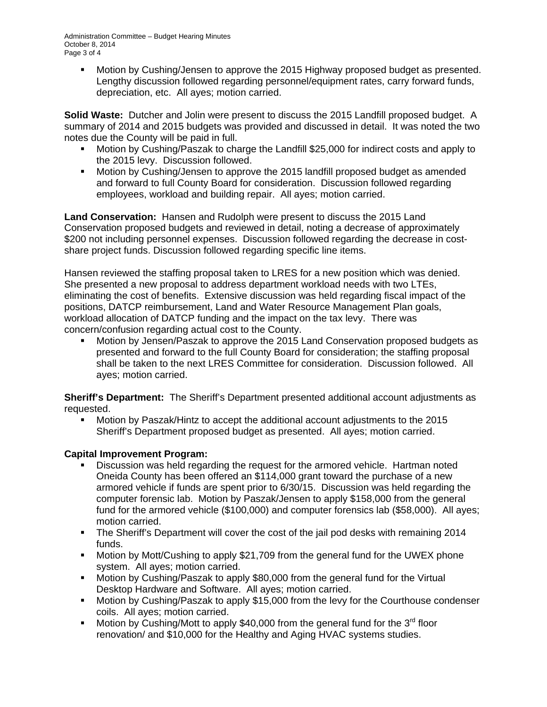Administration Committee – Budget Hearing Minutes October 8, 2014 Page 3 of 4

 Motion by Cushing/Jensen to approve the 2015 Highway proposed budget as presented. Lengthy discussion followed regarding personnel/equipment rates, carry forward funds, depreciation, etc. All ayes; motion carried.

**Solid Waste:** Dutcher and Jolin were present to discuss the 2015 Landfill proposed budget. A summary of 2014 and 2015 budgets was provided and discussed in detail. It was noted the two notes due the County will be paid in full.

- Motion by Cushing/Paszak to charge the Landfill \$25,000 for indirect costs and apply to the 2015 levy. Discussion followed.
- Motion by Cushing/Jensen to approve the 2015 landfill proposed budget as amended and forward to full County Board for consideration. Discussion followed regarding employees, workload and building repair. All ayes; motion carried.

**Land Conservation:** Hansen and Rudolph were present to discuss the 2015 Land Conservation proposed budgets and reviewed in detail, noting a decrease of approximately \$200 not including personnel expenses. Discussion followed regarding the decrease in costshare project funds. Discussion followed regarding specific line items.

Hansen reviewed the staffing proposal taken to LRES for a new position which was denied. She presented a new proposal to address department workload needs with two LTEs, eliminating the cost of benefits. Extensive discussion was held regarding fiscal impact of the positions, DATCP reimbursement, Land and Water Resource Management Plan goals, workload allocation of DATCP funding and the impact on the tax levy. There was concern/confusion regarding actual cost to the County.

 Motion by Jensen/Paszak to approve the 2015 Land Conservation proposed budgets as presented and forward to the full County Board for consideration; the staffing proposal shall be taken to the next LRES Committee for consideration. Discussion followed. All ayes; motion carried.

**Sheriff's Department:** The Sheriff's Department presented additional account adjustments as requested.

 Motion by Paszak/Hintz to accept the additional account adjustments to the 2015 Sheriff's Department proposed budget as presented. All ayes; motion carried.

## **Capital Improvement Program:**

- Discussion was held regarding the request for the armored vehicle. Hartman noted Oneida County has been offered an \$114,000 grant toward the purchase of a new armored vehicle if funds are spent prior to 6/30/15. Discussion was held regarding the computer forensic lab. Motion by Paszak/Jensen to apply \$158,000 from the general fund for the armored vehicle (\$100,000) and computer forensics lab (\$58,000). All ayes; motion carried.
- The Sheriff's Department will cover the cost of the jail pod desks with remaining 2014 funds.
- Motion by Mott/Cushing to apply \$21,709 from the general fund for the UWEX phone system. All ayes; motion carried.
- Motion by Cushing/Paszak to apply \$80,000 from the general fund for the Virtual Desktop Hardware and Software. All ayes; motion carried.
- Motion by Cushing/Paszak to apply \$15,000 from the levy for the Courthouse condenser coils. All ayes; motion carried.
- Motion by Cushing/Mott to apply \$40,000 from the general fund for the  $3<sup>rd</sup>$  floor renovation/ and \$10,000 for the Healthy and Aging HVAC systems studies.